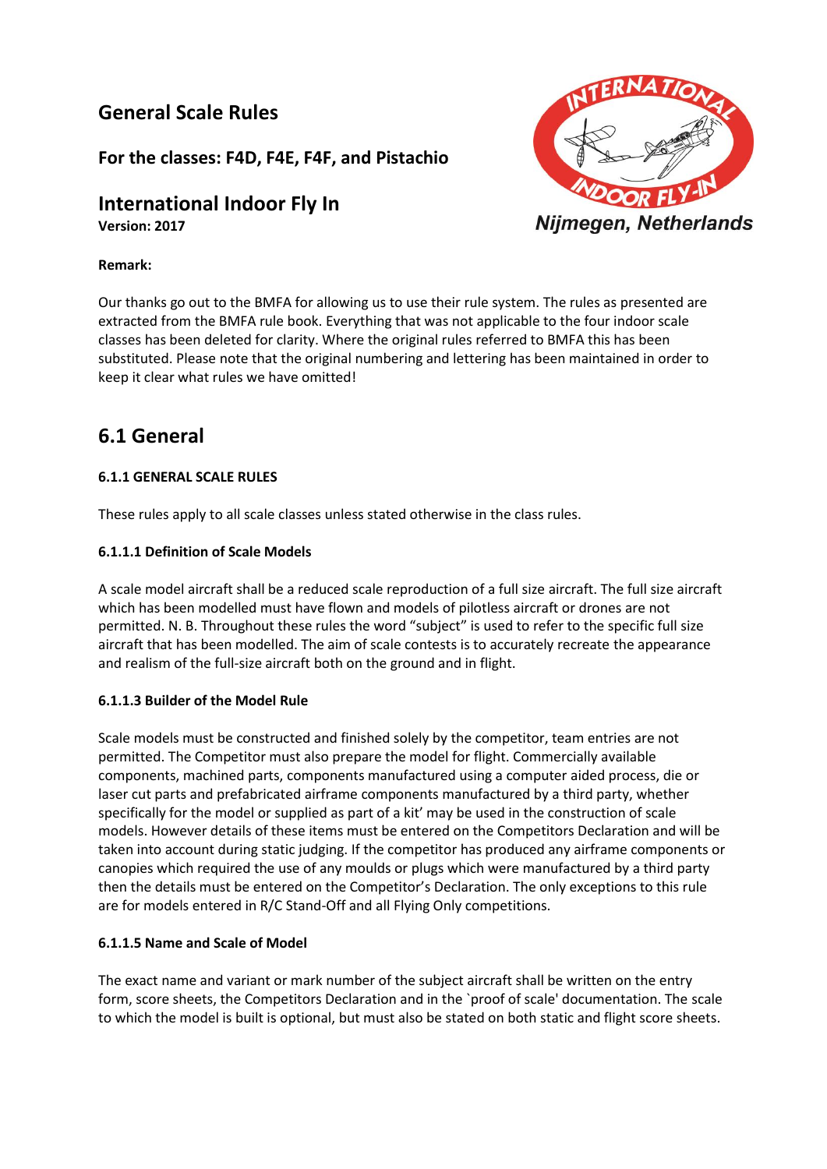## **General Scale Rules**

**For the classes: F4D, F4E, F4F, and Pistachio**

# **International Indoor Fly In**

**Version: 2017**



## **Remark:**

Our thanks go out to the BMFA for allowing us to use their rule system. The rules as presented are extracted from the BMFA rule book. Everything that was not applicable to the four indoor scale classes has been deleted for clarity. Where the original rules referred to BMFA this has been substituted. Please note that the original numbering and lettering has been maintained in order to keep it clear what rules we have omitted!

## **6.1 General**

## **6.1.1 GENERAL SCALE RULES**

These rules apply to all scale classes unless stated otherwise in the class rules.

## **6.1.1.1 Definition of Scale Models**

A scale model aircraft shall be a reduced scale reproduction of a full size aircraft. The full size aircraft which has been modelled must have flown and models of pilotless aircraft or drones are not permitted. N. B. Throughout these rules the word "subject" is used to refer to the specific full size aircraft that has been modelled. The aim of scale contests is to accurately recreate the appearance and realism of the full-size aircraft both on the ground and in flight.

## **6.1.1.3 Builder of the Model Rule**

Scale models must be constructed and finished solely by the competitor, team entries are not permitted. The Competitor must also prepare the model for flight. Commercially available components, machined parts, components manufactured using a computer aided process, die or laser cut parts and prefabricated airframe components manufactured by a third party, whether specifically for the model or supplied as part of a kit' may be used in the construction of scale models. However details of these items must be entered on the Competitors Declaration and will be taken into account during static judging. If the competitor has produced any airframe components or canopies which required the use of any moulds or plugs which were manufactured by a third party then the details must be entered on the Competitor's Declaration. The only exceptions to this rule are for models entered in R/C Stand-Off and all Flying Only competitions.

#### **6.1.1.5 Name and Scale of Model**

The exact name and variant or mark number of the subject aircraft shall be written on the entry form, score sheets, the Competitors Declaration and in the `proof of scale' documentation. The scale to which the model is built is optional, but must also be stated on both static and flight score sheets.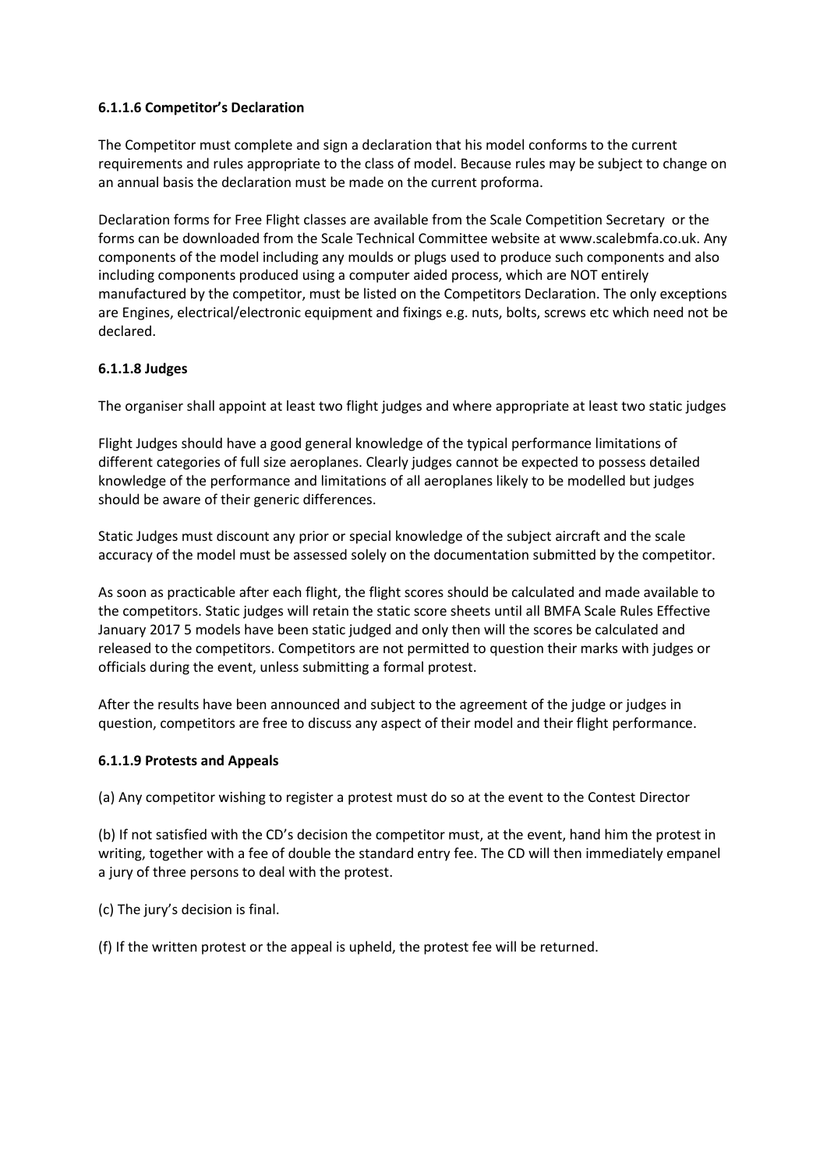## **6.1.1.6 Competitor's Declaration**

The Competitor must complete and sign a declaration that his model conforms to the current requirements and rules appropriate to the class of model. Because rules may be subject to change on an annual basis the declaration must be made on the current proforma.

Declaration forms for Free Flight classes are available from the Scale Competition Secretary or the forms can be downloaded from the Scale Technical Committee website at www.scalebmfa.co.uk. Any components of the model including any moulds or plugs used to produce such components and also including components produced using a computer aided process, which are NOT entirely manufactured by the competitor, must be listed on the Competitors Declaration. The only exceptions are Engines, electrical/electronic equipment and fixings e.g. nuts, bolts, screws etc which need not be declared.

## **6.1.1.8 Judges**

The organiser shall appoint at least two flight judges and where appropriate at least two static judges

Flight Judges should have a good general knowledge of the typical performance limitations of different categories of full size aeroplanes. Clearly judges cannot be expected to possess detailed knowledge of the performance and limitations of all aeroplanes likely to be modelled but judges should be aware of their generic differences.

Static Judges must discount any prior or special knowledge of the subject aircraft and the scale accuracy of the model must be assessed solely on the documentation submitted by the competitor.

As soon as practicable after each flight, the flight scores should be calculated and made available to the competitors. Static judges will retain the static score sheets until all BMFA Scale Rules Effective January 2017 5 models have been static judged and only then will the scores be calculated and released to the competitors. Competitors are not permitted to question their marks with judges or officials during the event, unless submitting a formal protest.

After the results have been announced and subject to the agreement of the judge or judges in question, competitors are free to discuss any aspect of their model and their flight performance.

## **6.1.1.9 Protests and Appeals**

(a) Any competitor wishing to register a protest must do so at the event to the Contest Director

(b) If not satisfied with the CD's decision the competitor must, at the event, hand him the protest in writing, together with a fee of double the standard entry fee. The CD will then immediately empanel a jury of three persons to deal with the protest.

(c) The jury's decision is final.

(f) If the written protest or the appeal is upheld, the protest fee will be returned.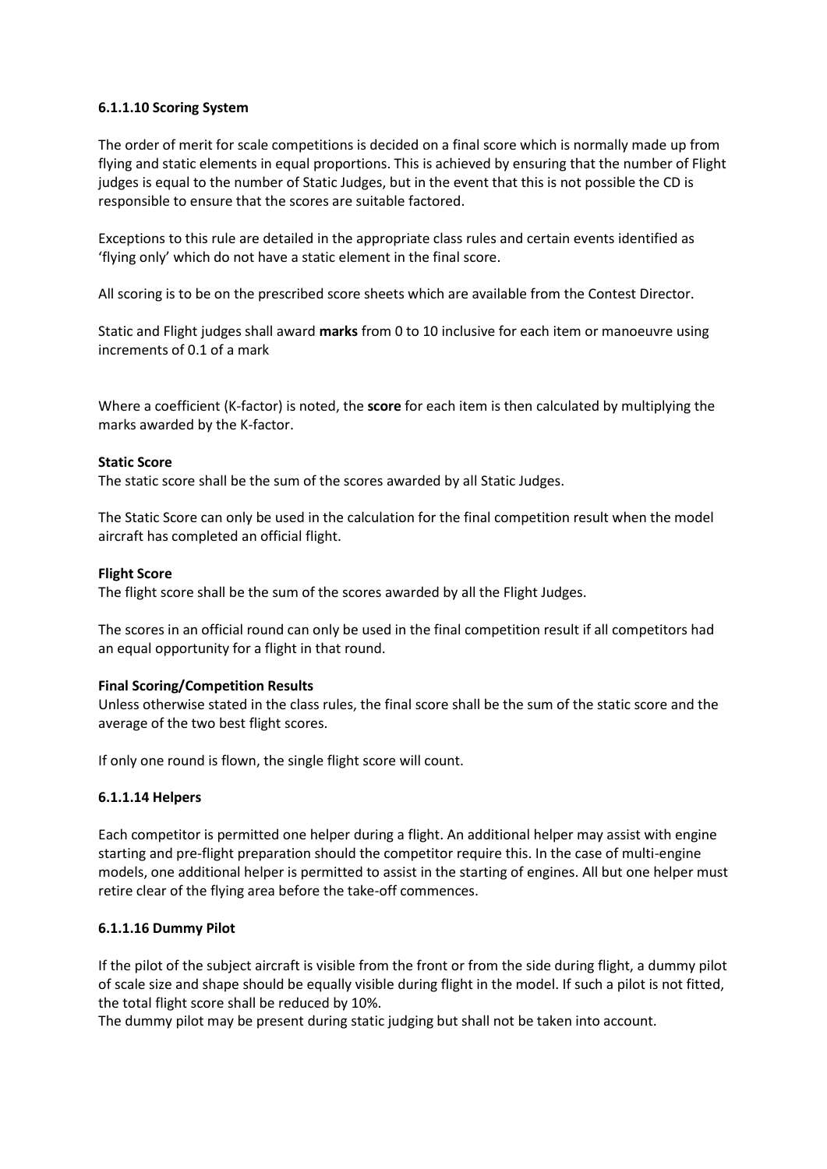## **6.1.1.10 Scoring System**

The order of merit for scale competitions is decided on a final score which is normally made up from flying and static elements in equal proportions. This is achieved by ensuring that the number of Flight judges is equal to the number of Static Judges, but in the event that this is not possible the CD is responsible to ensure that the scores are suitable factored.

Exceptions to this rule are detailed in the appropriate class rules and certain events identified as 'flying only' which do not have a static element in the final score.

All scoring is to be on the prescribed score sheets which are available from the Contest Director.

Static and Flight judges shall award **marks** from 0 to 10 inclusive for each item or manoeuvre using increments of 0.1 of a mark

Where a coefficient (K-factor) is noted, the **score** for each item is then calculated by multiplying the marks awarded by the K-factor.

#### **Static Score**

The static score shall be the sum of the scores awarded by all Static Judges.

The Static Score can only be used in the calculation for the final competition result when the model aircraft has completed an official flight.

#### **Flight Score**

The flight score shall be the sum of the scores awarded by all the Flight Judges.

The scores in an official round can only be used in the final competition result if all competitors had an equal opportunity for a flight in that round.

#### **Final Scoring/Competition Results**

Unless otherwise stated in the class rules, the final score shall be the sum of the static score and the average of the two best flight scores.

If only one round is flown, the single flight score will count.

#### **6.1.1.14 Helpers**

Each competitor is permitted one helper during a flight. An additional helper may assist with engine starting and pre-flight preparation should the competitor require this. In the case of multi-engine models, one additional helper is permitted to assist in the starting of engines. All but one helper must retire clear of the flying area before the take-off commences.

#### **6.1.1.16 Dummy Pilot**

If the pilot of the subject aircraft is visible from the front or from the side during flight, a dummy pilot of scale size and shape should be equally visible during flight in the model. If such a pilot is not fitted, the total flight score shall be reduced by 10%.

The dummy pilot may be present during static judging but shall not be taken into account.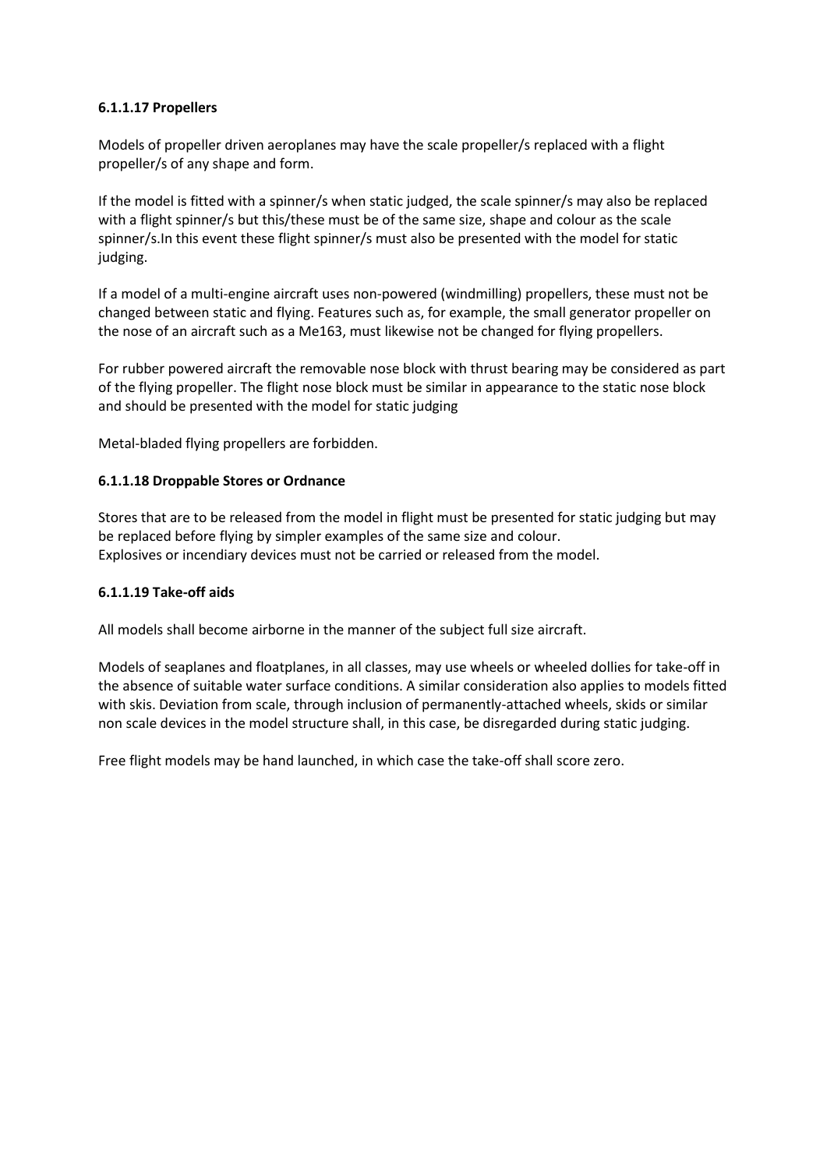## **6.1.1.17 Propellers**

Models of propeller driven aeroplanes may have the scale propeller/s replaced with a flight propeller/s of any shape and form.

If the model is fitted with a spinner/s when static judged, the scale spinner/s may also be replaced with a flight spinner/s but this/these must be of the same size, shape and colour as the scale spinner/s.In this event these flight spinner/s must also be presented with the model for static judging.

If a model of a multi-engine aircraft uses non-powered (windmilling) propellers, these must not be changed between static and flying. Features such as, for example, the small generator propeller on the nose of an aircraft such as a Me163, must likewise not be changed for flying propellers.

For rubber powered aircraft the removable nose block with thrust bearing may be considered as part of the flying propeller. The flight nose block must be similar in appearance to the static nose block and should be presented with the model for static judging

Metal-bladed flying propellers are forbidden.

## **6.1.1.18 Droppable Stores or Ordnance**

Stores that are to be released from the model in flight must be presented for static judging but may be replaced before flying by simpler examples of the same size and colour. Explosives or incendiary devices must not be carried or released from the model.

#### **6.1.1.19 Take-off aids**

All models shall become airborne in the manner of the subject full size aircraft.

Models of seaplanes and floatplanes, in all classes, may use wheels or wheeled dollies for take-off in the absence of suitable water surface conditions. A similar consideration also applies to models fitted with skis. Deviation from scale, through inclusion of permanently-attached wheels, skids or similar non scale devices in the model structure shall, in this case, be disregarded during static judging.

Free flight models may be hand launched, in which case the take-off shall score zero.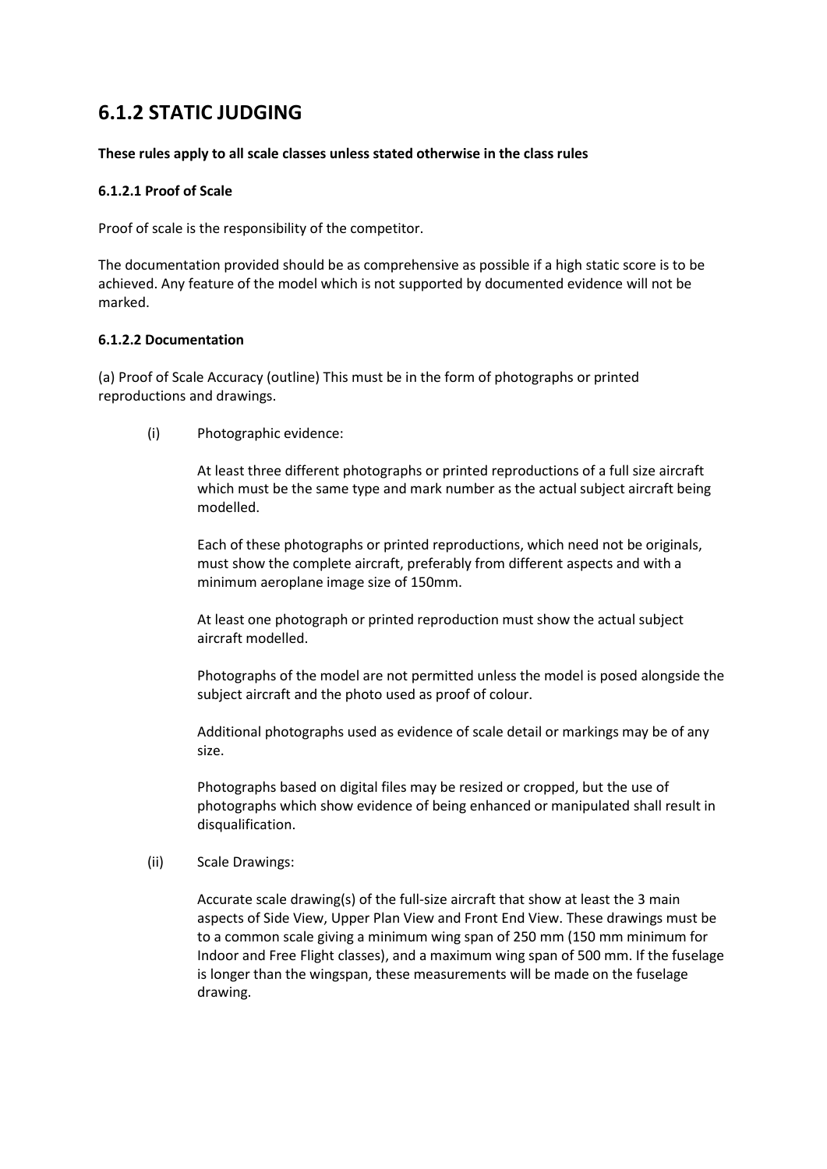# **6.1.2 STATIC JUDGING**

#### **These rules apply to all scale classes unless stated otherwise in the class rules**

## **6.1.2.1 Proof of Scale**

Proof of scale is the responsibility of the competitor.

The documentation provided should be as comprehensive as possible if a high static score is to be achieved. Any feature of the model which is not supported by documented evidence will not be marked.

## **6.1.2.2 Documentation**

(a) Proof of Scale Accuracy (outline) This must be in the form of photographs or printed reproductions and drawings.

(i) Photographic evidence:

At least three different photographs or printed reproductions of a full size aircraft which must be the same type and mark number as the actual subject aircraft being modelled.

Each of these photographs or printed reproductions, which need not be originals, must show the complete aircraft, preferably from different aspects and with a minimum aeroplane image size of 150mm.

At least one photograph or printed reproduction must show the actual subject aircraft modelled.

Photographs of the model are not permitted unless the model is posed alongside the subject aircraft and the photo used as proof of colour.

Additional photographs used as evidence of scale detail or markings may be of any size.

Photographs based on digital files may be resized or cropped, but the use of photographs which show evidence of being enhanced or manipulated shall result in disqualification.

(ii) Scale Drawings:

Accurate scale drawing(s) of the full-size aircraft that show at least the 3 main aspects of Side View, Upper Plan View and Front End View. These drawings must be to a common scale giving a minimum wing span of 250 mm (150 mm minimum for Indoor and Free Flight classes), and a maximum wing span of 500 mm. If the fuselage is longer than the wingspan, these measurements will be made on the fuselage drawing.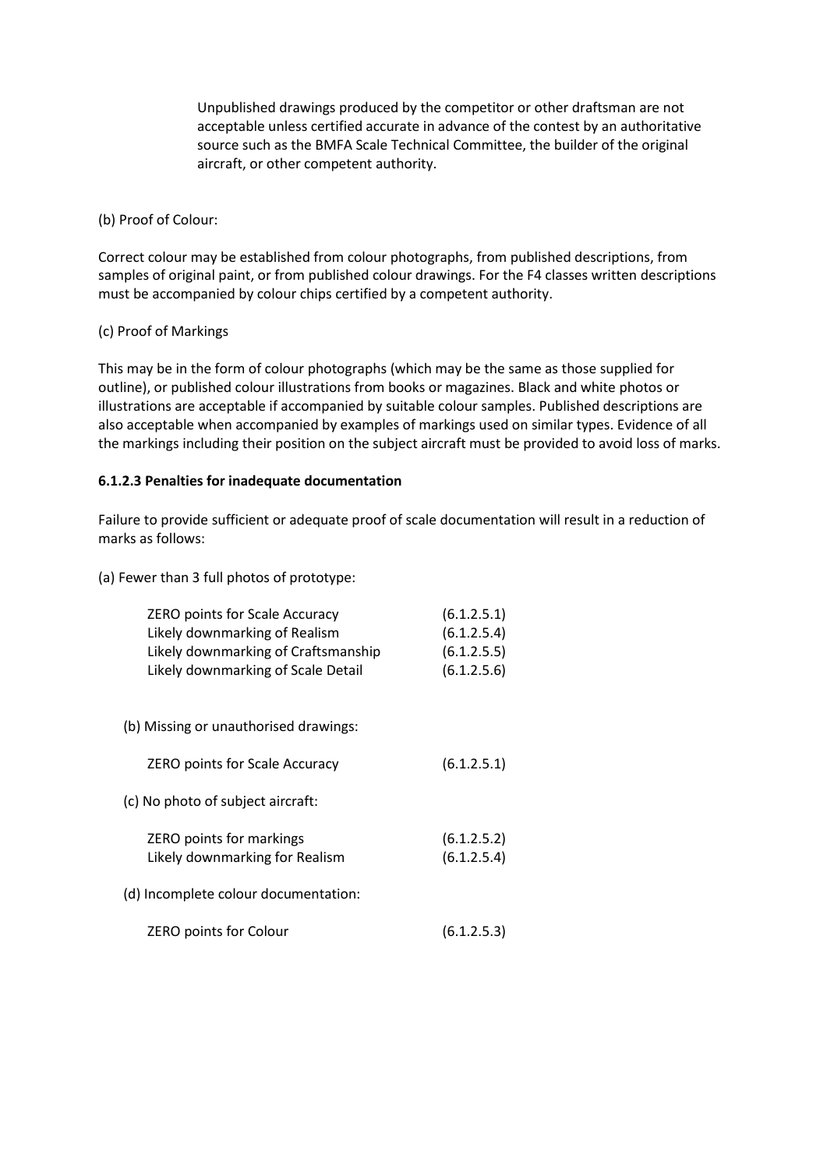Unpublished drawings produced by the competitor or other draftsman are not acceptable unless certified accurate in advance of the contest by an authoritative source such as the BMFA Scale Technical Committee, the builder of the original aircraft, or other competent authority.

## (b) Proof of Colour:

Correct colour may be established from colour photographs, from published descriptions, from samples of original paint, or from published colour drawings. For the F4 classes written descriptions must be accompanied by colour chips certified by a competent authority.

## (c) Proof of Markings

This may be in the form of colour photographs (which may be the same as those supplied for outline), or published colour illustrations from books or magazines. Black and white photos or illustrations are acceptable if accompanied by suitable colour samples. Published descriptions are also acceptable when accompanied by examples of markings used on similar types. Evidence of all the markings including their position on the subject aircraft must be provided to avoid loss of marks.

## **6.1.2.3 Penalties for inadequate documentation**

Failure to provide sufficient or adequate proof of scale documentation will result in a reduction of marks as follows:

(a) Fewer than 3 full photos of prototype:

| <b>ZERO points for Scale Accuracy</b><br>Likely downmarking of Realism<br>Likely downmarking of Craftsmanship<br>Likely downmarking of Scale Detail | (6.1.2.5.1)<br>(6.1.2.5.4)<br>(6.1.2.5.5)<br>(6.1.2.5.6) |
|-----------------------------------------------------------------------------------------------------------------------------------------------------|----------------------------------------------------------|
| (b) Missing or unauthorised drawings:                                                                                                               |                                                          |
| <b>ZERO points for Scale Accuracy</b>                                                                                                               | (6.1.2.5.1)                                              |
| (c) No photo of subject aircraft:                                                                                                                   |                                                          |
| ZERO points for markings<br>Likely downmarking for Realism                                                                                          | (6.1.2.5.2)<br>(6.1.2.5.4)                               |
| (d) Incomplete colour documentation:                                                                                                                |                                                          |
| ZERO points for Colour                                                                                                                              | (6.1.2.5.3)                                              |